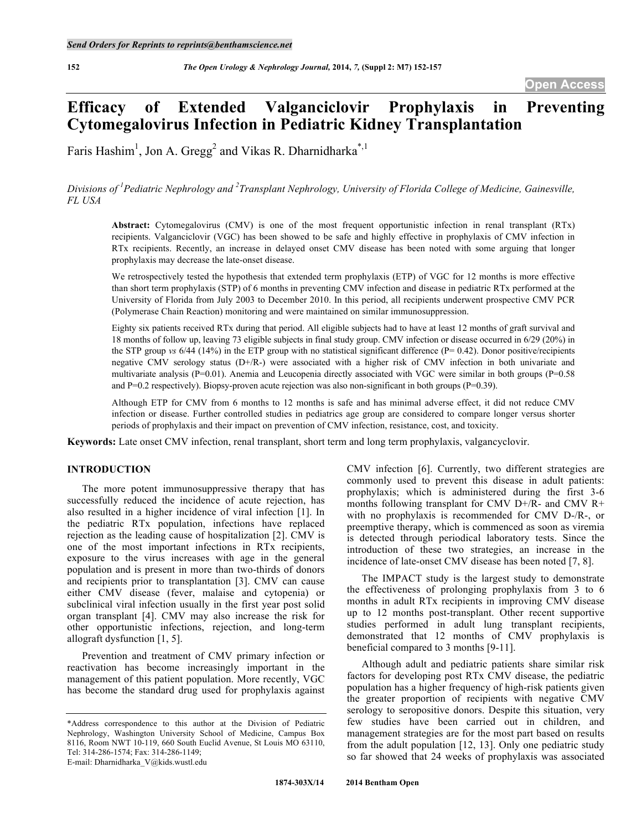# **Efficacy of Extended Valganciclovir Prophylaxis in Preventing Cytomegalovirus Infection in Pediatric Kidney Transplantation**

Faris Hashim<sup>1</sup>, Jon A. Gregg<sup>2</sup> and Vikas R. Dharnidharka<sup>\*,1</sup>

*Divisions of <sup>1</sup> Pediatric Nephrology and <sup>2</sup> Transplant Nephrology, University of Florida College of Medicine, Gainesville, FL USA*

**Abstract:** Cytomegalovirus (CMV) is one of the most frequent opportunistic infection in renal transplant (RTx) recipients. Valganciclovir (VGC) has been showed to be safe and highly effective in prophylaxis of CMV infection in RTx recipients. Recently, an increase in delayed onset CMV disease has been noted with some arguing that longer prophylaxis may decrease the late-onset disease.

We retrospectively tested the hypothesis that extended term prophylaxis (ETP) of VGC for 12 months is more effective than short term prophylaxis (STP) of 6 months in preventing CMV infection and disease in pediatric RTx performed at the University of Florida from July 2003 to December 2010. In this period, all recipients underwent prospective CMV PCR (Polymerase Chain Reaction) monitoring and were maintained on similar immunosuppression.

Eighty six patients received RTx during that period. All eligible subjects had to have at least 12 months of graft survival and 18 months of follow up, leaving 73 eligible subjects in final study group. CMV infection or disease occurred in 6/29 (20%) in the STP group *vs* 6/44 (14%) in the ETP group with no statistical significant difference (P= 0.42). Donor positive/recipients negative CMV serology status (D+/R-) were associated with a higher risk of CMV infection in both univariate and multivariate analysis (P=0.01). Anemia and Leucopenia directly associated with VGC were similar in both groups (P=0.58) and P=0.2 respectively). Biopsy-proven acute rejection was also non-significant in both groups (P=0.39).

Although ETP for CMV from 6 months to 12 months is safe and has minimal adverse effect, it did not reduce CMV infection or disease. Further controlled studies in pediatrics age group are considered to compare longer versus shorter periods of prophylaxis and their impact on prevention of CMV infection, resistance, cost, and toxicity.

**Keywords:** Late onset CMV infection, renal transplant, short term and long term prophylaxis, valgancyclovir.

# **INTRODUCTION**

The more potent immunosuppressive therapy that has successfully reduced the incidence of acute rejection, has also resulted in a higher incidence of viral infection [1]. In the pediatric RTx population, infections have replaced rejection as the leading cause of hospitalization [2]. CMV is one of the most important infections in RTx recipients, exposure to the virus increases with age in the general population and is present in more than two-thirds of donors and recipients prior to transplantation [3]. CMV can cause either CMV disease (fever, malaise and cytopenia) or subclinical viral infection usually in the first year post solid organ transplant [4]. CMV may also increase the risk for other opportunistic infections, rejection, and long-term allograft dysfunction [1, 5].

Prevention and treatment of CMV primary infection or reactivation has become increasingly important in the management of this patient population. More recently, VGC has become the standard drug used for prophylaxis against CMV infection [6]. Currently, two different strategies are commonly used to prevent this disease in adult patients: prophylaxis; which is administered during the first 3-6 months following transplant for CMV D+/R- and CMV R+ with no prophylaxis is recommended for CMV D-/R-, or preemptive therapy, which is commenced as soon as viremia is detected through periodical laboratory tests. Since the introduction of these two strategies, an increase in the incidence of late-onset CMV disease has been noted [7, 8].

The IMPACT study is the largest study to demonstrate the effectiveness of prolonging prophylaxis from 3 to 6 months in adult RTx recipients in improving CMV disease up to 12 months post-transplant. Other recent supportive studies performed in adult lung transplant recipients, demonstrated that 12 months of CMV prophylaxis is beneficial compared to 3 months [9-11].

Although adult and pediatric patients share similar risk factors for developing post RTx CMV disease, the pediatric population has a higher frequency of high-risk patients given the greater proportion of recipients with negative CMV serology to seropositive donors. Despite this situation, very few studies have been carried out in children, and management strategies are for the most part based on results from the adult population [12, 13]. Only one pediatric study so far showed that 24 weeks of prophylaxis was associated

<sup>\*</sup>Address correspondence to this author at the Division of Pediatric Nephrology, Washington University School of Medicine, Campus Box 8116, Room NWT 10-119, 660 South Euclid Avenue, St Louis MO 63110, Tel: 314-286-1574; Fax: 314-286-1149; E-mail: Dharnidharka\_V@kids.wustl.edu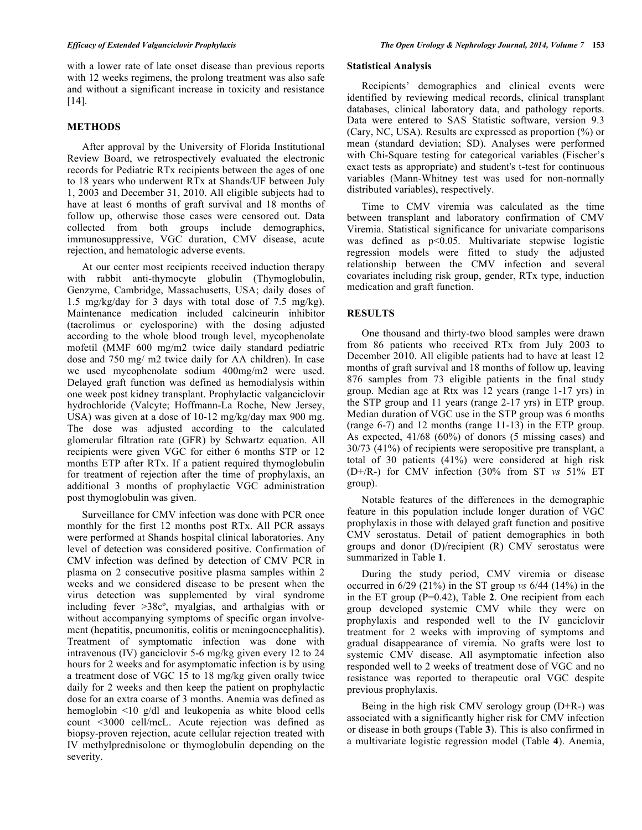with a lower rate of late onset disease than previous reports with 12 weeks regimens, the prolong treatment was also safe and without a significant increase in toxicity and resistance [14].

# **METHODS**

After approval by the University of Florida Institutional Review Board, we retrospectively evaluated the electronic records for Pediatric RTx recipients between the ages of one to 18 years who underwent RTx at Shands/UF between July 1, 2003 and December 31, 2010. All eligible subjects had to have at least 6 months of graft survival and 18 months of follow up, otherwise those cases were censored out. Data collected from both groups include demographics, immunosuppressive, VGC duration, CMV disease, acute rejection, and hematologic adverse events.

At our center most recipients received induction therapy with rabbit anti-thymocyte globulin (Thymoglobulin, Genzyme, Cambridge, Massachusetts, USA; daily doses of 1.5 mg/kg/day for 3 days with total dose of 7.5 mg/kg). Maintenance medication included calcineurin inhibitor (tacrolimus or cyclosporine) with the dosing adjusted according to the whole blood trough level, mycophenolate mofetil (MMF 600 mg/m2 twice daily standard pediatric dose and 750 mg/ m2 twice daily for AA children). In case we used mycophenolate sodium 400mg/m2 were used. Delayed graft function was defined as hemodialysis within one week post kidney transplant. Prophylactic valganciclovir hydrochloride (Valcyte; Hoffmann-La Roche, New Jersey, USA) was given at a dose of 10-12 mg/kg/day max 900 mg. The dose was adjusted according to the calculated glomerular filtration rate (GFR) by Schwartz equation. All recipients were given VGC for either 6 months STP or 12 months ETP after RTx. If a patient required thymoglobulin for treatment of rejection after the time of prophylaxis, an additional 3 months of prophylactic VGC administration post thymoglobulin was given.

Surveillance for CMV infection was done with PCR once monthly for the first 12 months post RTx. All PCR assays were performed at Shands hospital clinical laboratories. Any level of detection was considered positive. Confirmation of CMV infection was defined by detection of CMV PCR in plasma on 2 consecutive positive plasma samples within 2 weeks and we considered disease to be present when the virus detection was supplemented by viral syndrome including fever >38cº, myalgias, and arthalgias with or without accompanying symptoms of specific organ involvement (hepatitis, pneumonitis, colitis or meningoencephalitis). Treatment of symptomatic infection was done with intravenous (IV) ganciclovir 5-6 mg/kg given every 12 to 24 hours for 2 weeks and for asymptomatic infection is by using a treatment dose of VGC 15 to 18 mg/kg given orally twice daily for 2 weeks and then keep the patient on prophylactic dose for an extra coarse of 3 months. Anemia was defined as hemoglobin <10 g/dl and leukopenia as white blood cells count <3000 cell/mcL. Acute rejection was defined as biopsy-proven rejection, acute cellular rejection treated with IV methylprednisolone or thymoglobulin depending on the severity.

# **Statistical Analysis**

Recipients' demographics and clinical events were identified by reviewing medical records, clinical transplant databases, clinical laboratory data, and pathology reports. Data were entered to SAS Statistic software, version 9.3 (Cary, NC, USA). Results are expressed as proportion (%) or mean (standard deviation; SD). Analyses were performed with Chi-Square testing for categorical variables (Fischer's exact tests as appropriate) and student's t-test for continuous variables (Mann-Whitney test was used for non-normally distributed variables), respectively.

Time to CMV viremia was calculated as the time between transplant and laboratory confirmation of CMV Viremia. Statistical significance for univariate comparisons was defined as p<0.05. Multivariate stepwise logistic regression models were fitted to study the adjusted relationship between the CMV infection and several covariates including risk group, gender, RTx type, induction medication and graft function.

# **RESULTS**

One thousand and thirty-two blood samples were drawn from 86 patients who received RTx from July 2003 to December 2010. All eligible patients had to have at least 12 months of graft survival and 18 months of follow up, leaving 876 samples from 73 eligible patients in the final study group. Median age at Rtx was 12 years (range 1-17 yrs) in the STP group and 11 years (range 2-17 yrs) in ETP group. Median duration of VGC use in the STP group was 6 months (range 6-7) and 12 months (range 11-13) in the ETP group. As expected, 41/68 (60%) of donors (5 missing cases) and 30/73 (41%) of recipients were seropositive pre transplant, a total of 30 patients (41%) were considered at high risk (D+/R-) for CMV infection (30% from ST *vs* 51% ET group).

Notable features of the differences in the demographic feature in this population include longer duration of VGC prophylaxis in those with delayed graft function and positive CMV serostatus. Detail of patient demographics in both groups and donor (D)/recipient (R) CMV serostatus were summarized in Table **1**.

During the study period, CMV viremia or disease occurred in 6/29 (21%) in the ST group *vs* 6/44 (14%) in the in the ET group (P=0.42), Table **2**. One recipient from each group developed systemic CMV while they were on prophylaxis and responded well to the IV ganciclovir treatment for 2 weeks with improving of symptoms and gradual disappearance of viremia. No grafts were lost to systemic CMV disease. All asymptomatic infection also responded well to 2 weeks of treatment dose of VGC and no resistance was reported to therapeutic oral VGC despite previous prophylaxis.

Being in the high risk CMV serology group (D+R-) was associated with a significantly higher risk for CMV infection or disease in both groups (Table **3**). This is also confirmed in a multivariate logistic regression model (Table **4**). Anemia,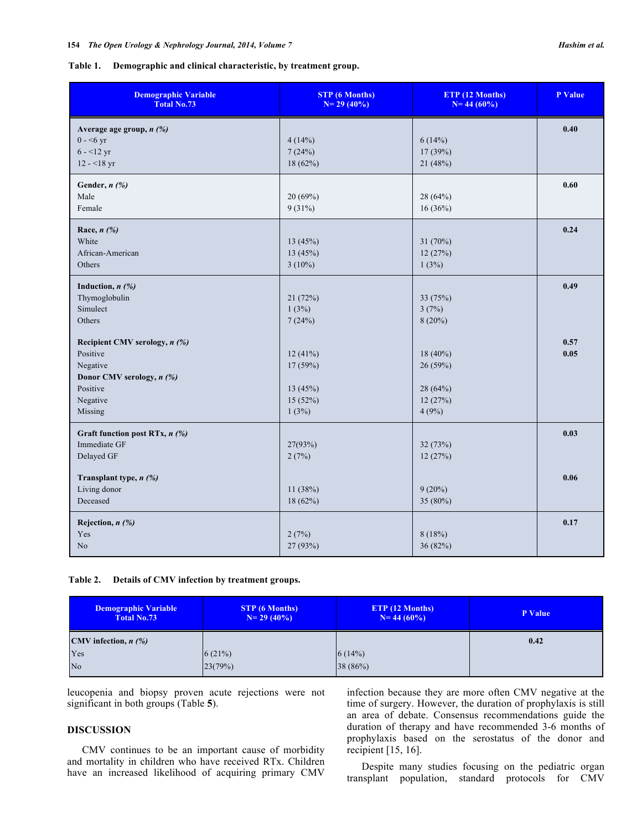# **Table 1. Demographic and clinical characteristic, by treatment group.**

| <b>Demographic Variable</b><br><b>Total No.73</b>                                                                     | <b>STP</b> (6 Months)<br>$N=29(40%)$               | ETP (12 Months)<br>$N = 44(60%)$                   | P Value      |
|-----------------------------------------------------------------------------------------------------------------------|----------------------------------------------------|----------------------------------------------------|--------------|
| Average age group, $n$ (%)<br>$0 - 56$ yr<br>$6 - 12$ yr<br>$12 - 18$ yr                                              | 4(14%)<br>7(24%)<br>18(62%)                        | 6(14%)<br>17 (39%)<br>21(48%)                      | 0.40         |
| Gender, $n$ $\left(\frac{\%}{\%}\right)$<br>Male<br>Female                                                            | 20(69%)<br>9(31%)                                  | 28 (64%)<br>$16(36\%)$                             | 0.60         |
| Race, $n$ $\left(\frac{\%}{\%}\right)$<br>White<br>African-American<br>Others                                         | 13 (45%)<br>13 (45%)<br>$3(10\%)$                  | 31(70%)<br>12(27%)<br>1(3%)                        | 0.24         |
| Induction, $n$ $(%)$<br>Thymoglobulin<br>Simulect<br>Others                                                           | 21(72%)<br>1(3%)<br>7(24%)                         | 33 (75%)<br>3(7%)<br>$8(20\%)$                     | 0.49         |
| Recipient CMV serology, n (%)<br>Positive<br>Negative<br>Donor CMV serology, n (%)<br>Positive<br>Negative<br>Missing | 12(41%)<br>17(59%)<br>13(45%)<br>15 (52%)<br>1(3%) | 18 (40%)<br>26(59%)<br>28(64%)<br>12(27%)<br>4(9%) | 0.57<br>0.05 |
| Graft function post RTx, n (%)<br>Immediate GF<br>Delayed GF                                                          | 27(93%)<br>2(7%)                                   | 32 (73%)<br>12(27%)                                | 0.03         |
| Transplant type, n (%)<br>Living donor<br>Deceased                                                                    | 11 (38%)<br>18(62%)                                | $9(20\%)$<br>35 $(80\%)$                           | 0.06         |
| Rejection, $n$ (%)<br>Yes<br>N <sub>o</sub>                                                                           | 2(7%)<br>27 (93%)                                  | 8(18%)<br>36(82%)                                  | 0.17         |

# **Table 2. Details of CMV infection by treatment groups.**

| Demographic Variable<br><b>Total No.73</b>      | <b>STP</b> (6 Months)<br>$N=29(40\%)$ | ETP (12 Months)<br>$N = 44(60\%)$ | P Value |
|-------------------------------------------------|---------------------------------------|-----------------------------------|---------|
| CMV infection, $n$ $\left(\frac{\%}{\%}\right)$ |                                       |                                   | 0.42    |
| Yes                                             | 6(21%)                                | 6(14%)                            |         |
| N <sub>o</sub>                                  | 23(79%)                               | 38(86%)                           |         |

leucopenia and biopsy proven acute rejections were not significant in both groups (Table **5**).

# **DISCUSSION**

CMV continues to be an important cause of morbidity and mortality in children who have received RTx. Children have an increased likelihood of acquiring primary CMV infection because they are more often CMV negative at the time of surgery. However, the duration of prophylaxis is still an area of debate. Consensus recommendations guide the duration of therapy and have recommended 3-6 months of prophylaxis based on the serostatus of the donor and recipient [15, 16].

Despite many studies focusing on the pediatric organ transplant population, standard protocols for CMV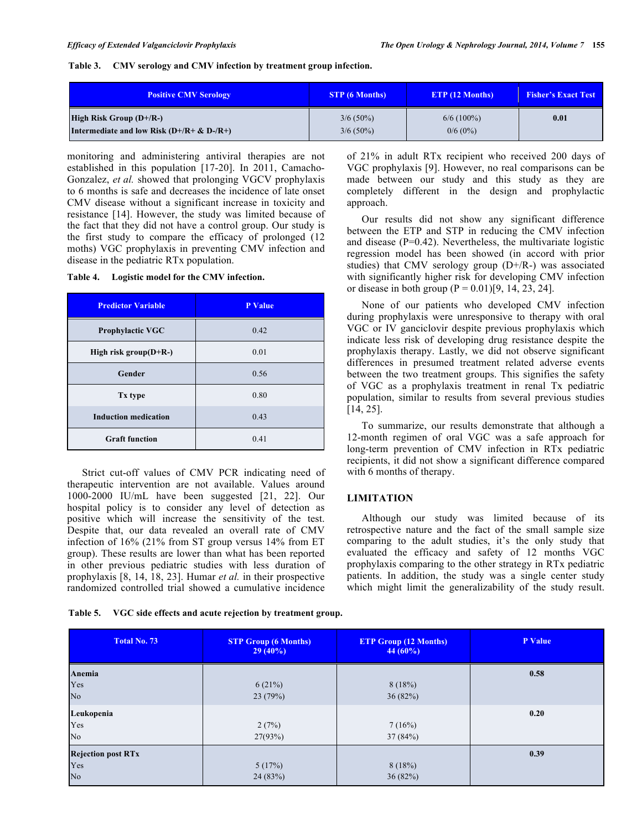# **Table 3. CMV serology and CMV infection by treatment group infection.**

| <b>Positive CMV Serology</b>                  | <b>STP</b> (6 Months) | <b>ETP</b> (12 Months) | <b>Fisher's Exact Test</b> |
|-----------------------------------------------|-----------------------|------------------------|----------------------------|
| High Risk Group $(D+/R-)$                     | $3/6(50\%)$           | $6/6(100\%)$           | 0.01                       |
| Intermediate and low Risk $(D+/R + \& D-/R+)$ | $3/6(50\%)$           | $0/6(0\%)$             |                            |

monitoring and administering antiviral therapies are not established in this population [17-20]. In 2011, Camacho-Gonzalez, *et al.* showed that prolonging VGCV prophylaxis to 6 months is safe and decreases the incidence of late onset CMV disease without a significant increase in toxicity and resistance [14]. However, the study was limited because of the fact that they did not have a control group. Our study is the first study to compare the efficacy of prolonged (12 moths) VGC prophylaxis in preventing CMV infection and disease in the pediatric RTx population.

# **Table 4. Logistic model for the CMV infection.**

| <b>Predictor Variable</b>   | <b>P</b> Value |
|-----------------------------|----------------|
| <b>Prophylactic VGC</b>     | 0.42           |
| High risk group $(D+R-)$    | 0.01           |
| Gender                      | 0.56           |
| Tx type                     | 0.80           |
| <b>Induction medication</b> | 0.43           |
| <b>Graft function</b>       | 0.41           |

Strict cut-off values of CMV PCR indicating need of therapeutic intervention are not available. Values around 1000-2000 IU/mL have been suggested [21, 22]. Our hospital policy is to consider any level of detection as positive which will increase the sensitivity of the test. Despite that, our data revealed an overall rate of CMV infection of 16% (21% from ST group versus 14% from ET group). These results are lower than what has been reported in other previous pediatric studies with less duration of prophylaxis [8, 14, 18, 23]. Humar *et al.* in their prospective randomized controlled trial showed a cumulative incidence

of 21% in adult RTx recipient who received 200 days of VGC prophylaxis [9]. However, no real comparisons can be made between our study and this study as they are completely different in the design and prophylactic approach.

Our results did not show any significant difference between the ETP and STP in reducing the CMV infection and disease (P=0.42). Nevertheless, the multivariate logistic regression model has been showed (in accord with prior studies) that CMV serology group (D+/R-) was associated with significantly higher risk for developing CMV infection or disease in both group  $(P = 0.01)[9, 14, 23, 24]$ .

None of our patients who developed CMV infection during prophylaxis were unresponsive to therapy with oral VGC or IV ganciclovir despite previous prophylaxis which indicate less risk of developing drug resistance despite the prophylaxis therapy. Lastly, we did not observe significant differences in presumed treatment related adverse events between the two treatment groups. This signifies the safety of VGC as a prophylaxis treatment in renal Tx pediatric population, similar to results from several previous studies [14, 25].

To summarize, our results demonstrate that although a 12-month regimen of oral VGC was a safe approach for long-term prevention of CMV infection in RTx pediatric recipients, it did not show a significant difference compared with 6 months of therapy.

## **LIMITATION**

Although our study was limited because of its retrospective nature and the fact of the small sample size comparing to the adult studies, it's the only study that evaluated the efficacy and safety of 12 months VGC prophylaxis comparing to the other strategy in RTx pediatric patients. In addition, the study was a single center study which might limit the generalizability of the study result.

|  | Table 5. | VGC side effects and acute rejection by treatment group. |
|--|----------|----------------------------------------------------------|
|--|----------|----------------------------------------------------------|

| <b>Total No. 73</b>                                | <b>STP Group (6 Months)</b><br>$29(40\%)$ | <b>ETP Group (12 Months)</b><br>$44(60\%)$ | P Value |
|----------------------------------------------------|-------------------------------------------|--------------------------------------------|---------|
| Anemia<br>Yes<br>No.                               | 6(21%)<br>23(79%)                         | 8(18%)<br>36(82%)                          | 0.58    |
| Leukopenia<br>Yes<br>No                            | 2(7%)<br>27(93%)                          | 7(16%)<br>37(84%)                          | 0.20    |
| <b>Rejection post RTx</b><br>Yes<br>N <sub>o</sub> | 5(17%)<br>24(83%)                         | 8(18%)<br>36(82%)                          | 0.39    |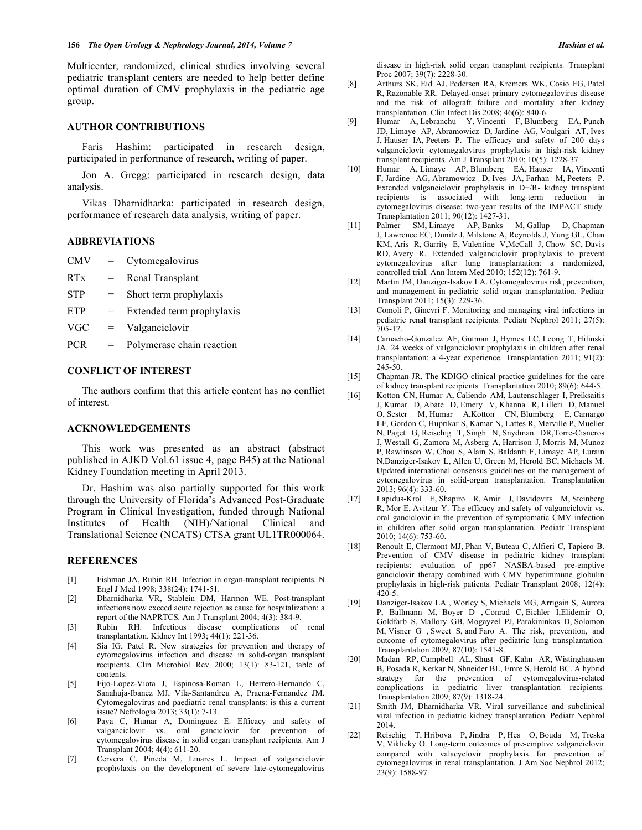Multicenter, randomized, clinical studies involving several pediatric transplant centers are needed to help better define optimal duration of CMV prophylaxis in the pediatric age group.

# **AUTHOR CONTRIBUTIONS**

Faris Hashim: participated in research design, participated in performance of research, writing of paper.

Jon A. Gregg: participated in research design, data analysis.

Vikas Dharnidharka: participated in research design, performance of research data analysis, writing of paper.

# **ABBREVIATIONS**

| <b>CMV</b>      | $=$ | Cytomegalovirus  |
|-----------------|-----|------------------|
| R <sub>Tx</sub> | $=$ | Renal Transplant |

- STP = Short term prophylaxis
- $ETP =$  Extended term prophylaxis
- VGC = Valganciclovir
- PCR = Polymerase chain reaction

# **CONFLICT OF INTEREST**

The authors confirm that this article content has no conflict of interest.

# **ACKNOWLEDGEMENTS**

This work was presented as an abstract (abstract published in AJKD Vol.61 issue 4, page B45) at the National Kidney Foundation meeting in April 2013.

Dr. Hashim was also partially supported for this work through the University of Florida's Advanced Post-Graduate Program in Clinical Investigation, funded through National Institutes of Health (NIH)/National Clinical and Translational Science (NCATS) CTSA grant UL1TR000064.

### **REFERENCES**

- [1] Fishman JA, Rubin RH. Infection in organ-transplant recipients*.* N Engl J Med 1998; 338(24): 1741-51.
- [2] Dharnidharka VR, Stablein DM, Harmon WE. Post-transplant infections now exceed acute rejection as cause for hospitalization: a report of the NAPRTCS*.* Am J Transplant 2004; 4(3): 384-9.
- [3] Rubin RH. Infectious disease complications of renal transplantation*.* Kidney Int 1993; 44(1): 221-36.
- [4] Sia IG, Patel R. New strategies for prevention and therapy of cytomegalovirus infection and disease in solid-organ transplant recipients*.* Clin Microbiol Rev 2000; 13(1): 83-121, table of contents.
- [5] Fijo-Lopez-Viota J, Espinosa-Roman L, Herrero-Hernando C, Sanahuja-Ibanez MJ, Vila-Santandreu A, Praena-Fernandez JM. Cytomegalovirus and paediatric renal transplants: is this a current issue? Nefrologia 2013; 33(1): 7-13.
- [6] Paya C, Humar A, Dominguez E. Efficacy and safety of valganciclovir vs. oral ganciclovir for prevention of cytomegalovirus disease in solid organ transplant recipients*.* Am J Transplant 2004; 4(4): 611-20.
- [7] Cervera C, Pineda M, Linares L. Impact of valganciclovir prophylaxis on the development of severe late-cytomegalovirus

disease in high-risk solid organ transplant recipients*.* Transplant Proc 2007; 39(7): 2228-30.

- [8] Arthurs SK, Eid AJ, Pedersen RA, Kremers WK, Cosio FG, Patel R, Razonable RR. Delayed-onset primary cytomegalovirus disease and the risk of allograft failure and mortality after kidney transplantation*.* Clin Infect Dis 2008; 46(6): 840-6.
- [9] Humar A, Lebranchu Y, Vincenti F, Blumberg EA, Punch JD, Limaye AP, Abramowicz D, Jardine AG, Voulgari AT, Ives J, Hauser IA, Peeters P. The efficacy and safety of 200 days valganciclovir cytomegalovirus prophylaxis in high-risk kidney transplant recipients*.* Am J Transplant 2010; 10(5): 1228-37.
- [10] Humar A, Limaye AP, Blumberg EA, Hauser IA, Vincenti F, Jardine AG, Abramowicz D, Ives JA, Farhan M, Peeters P. Extended valganciclovir prophylaxis in D+/R- kidney transplant recipients is associated with long-term reduction in cytomegalovirus disease: two-year results of the IMPACT study*.* Transplantation 2011; 90(12): 1427-31.
- [11] Palmer SM, Limaye AP, Banks M, Gallup D, Chapman J, Lawrence EC, Dunitz J, Milstone A, Reynolds J, Yung GL, Chan KM, Aris R, Garrity E, Valentine V,McCall J, Chow SC, Davis RD, Avery R. Extended valganciclovir prophylaxis to prevent cytomegalovirus after lung transplantation: a randomized, controlled trial*.* Ann Intern Med 2010; 152(12): 761-9.
- [12] Martin JM, Danziger-Isakov LA. Cytomegalovirus risk, prevention, and management in pediatric solid organ transplantation*.* Pediatr Transplant 2011; 15(3): 229-36.
- [13] Comoli P, Ginevri F. Monitoring and managing viral infections in pediatric renal transplant recipients*.* Pediatr Nephrol 2011; 27(5): 705-17.
- [14] Camacho-Gonzalez AF, Gutman J, Hymes LC, Leong T, Hilinski JA. 24 weeks of valganciclovir prophylaxis in children after renal transplantation: a 4-year experience*.* Transplantation 2011; 91(2): 245-50.
- [15] Chapman JR. The KDIGO clinical practice guidelines for the care of kidney transplant recipients*.* Transplantation 2010; 89(6): 644-5.
- [16] Kotton CN, Humar A, Caliendo AM, Lautenschlager I, Preiksaitis J, Kumar D, Abate D, Emery V, Khanna R, Lilleri D, Manuel O, Sester M, Humar A,Kotton CN, Blumberg E, Camargo LF, Gordon C, Huprikar S, Kamar N, Lattes R, Merville P, Mueller N, Paget G, Reischig T, Singh N, Snydman DR,Torre-Cisneros J, Westall G, Zamora M, Asberg A, Harrison J, Morris M, Munoz P, Rawlinson W, Chou S, Alain S, Baldanti F, Limaye AP, Lurain N,Danziger-Isakov L, Allen U, Green M, Herold BC, Michaels M. Updated international consensus guidelines on the management of cytomegalovirus in solid-organ transplantation*.* Transplantation 2013; 96(4): 333-60.
- [17] Lapidus-Krol E, Shapiro R, Amir J, Davidovits M, Steinberg R, Mor E, Avitzur Y. The efficacy and safety of valganciclovir vs. oral ganciclovir in the prevention of symptomatic CMV infection in children after solid organ transplantation*.* Pediatr Transplant 2010; 14(6): 753-60.
- [18] Renoult E, Clermont MJ, Phan V, Buteau C, Alfieri C, Tapiero B. Prevention of CMV disease in pediatric kidney transplant recipients: evaluation of pp67 NASBA-based pre-emptive ganciclovir therapy combined with CMV hyperimmune globulin prophylaxis in high-risk patients*.* Pediatr Transplant 2008; 12(4):  $420 - 5$
- [19] Danziger-Isakov LA , Worley S, Michaels MG, Arrigain S, Aurora P, Ballmann M, Boyer D , Conrad C, Eichler I,Elidemir O, Goldfarb S, Mallory GB, Mogayzel PJ, Parakininkas D, Solomon M, Visner G , Sweet S, and Faro A. The risk, prevention, and outcome of cytomegalovirus after pediatric lung transplantation*.* Transplantation 2009; 87(10): 1541-8.
- [20] Madan RP, Campbell AL, Shust GF, Kahn AR, Wistinghausen B, Posada R, Kerkar N, Shneider BL, Emre S, Herold BC. A hybrid strategy for the prevention of cytomegalovirus-related complications in pediatric liver transplantation recipients*.* Transplantation 2009; 87(9): 1318-24.
- [21] Smith JM, Dharnidharka VR. Viral surveillance and subclinical viral infection in pediatric kidney transplantation*.* Pediatr Nephrol 2014.
- [22] Reischig T, Hribova P, Jindra P, Hes O, Bouda M, Treska V, Viklicky O. Long-term outcomes of pre-emptive valganciclovir compared with valacyclovir prophylaxis for prevention of cytomegalovirus in renal transplantation*.* J Am Soc Nephrol 2012; 23(9): 1588-97.